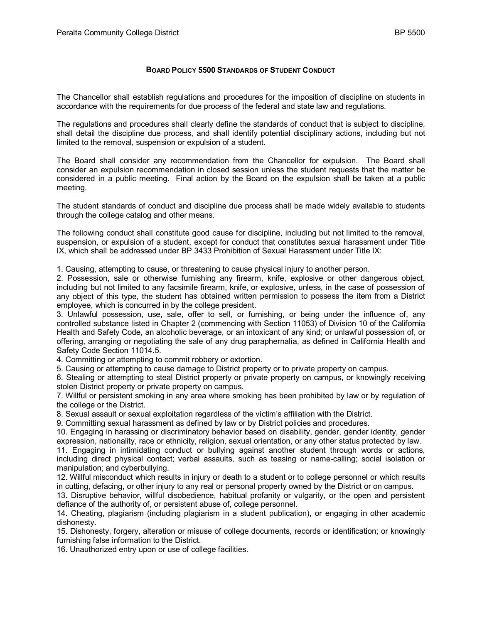## **BOARD POLICY 5500 STANDARDS OF STUDENT CONDUCT**

The Chancellor shall establish regulations and procedures for the imposition of discipline on students in accordance with the requirements for due process of the federal and state law and regulations.

The regulations and procedures shall clearly define the standards of conduct that is subject to discipline, shall detail the discipline due process, and shall identify potential disciplinary actions, including but not limited to the removal, suspension or expulsion of a student.

The Board shall consider any recommendation from the Chancellor for expulsion. The Board shall consider an expulsion recommendation in closed session unless the student requests that the matter be considered in a public meeting. Final action by the Board on the expulsion shall be taken at a public meeting.

The student standards of conduct and discipline due process shall be made widely available to students through the college catalog and other means.

The following conduct shall constitute good cause for discipline, including but not limited to the removal, suspension, or expulsion of a student, except for conduct that constitutes sexual harassment under Title IX, which shall be addressed under BP 3433 Prohibition of Sexual Harassment under Title IX:

1. Causing, attempting to cause, or threatening to cause physical injury to another person.

2. Possession, sale or otherwise furnishing any firearm, knife, explosive or other dangerous object, including but not limited to any facsimile firearm, knife, or explosive, unless, in the case of possession of any object of this type, the student has obtained written permission to possess the item from a District employee, which is concurred in by the college president.

3. Unlawful possession, use, sale, offer to sell, or furnishing, or being under the influence of, any controlled substance listed in Chapter 2 (commencing with Section 11053) of Division 10 of the California Health and Safety Code, an alcoholic beverage, or an intoxicant of any kind; or unlawful possession of, or offering, arranging or negotiating the sale of any drug paraphernalia, as defined in California Health and Safety Code Section 11014.5.

4. Committing or attempting to commit robbery or extortion.

5. Causing or attempting to cause damage to District property or to private property on campus.

6. Stealing or attempting to steal District property or private property on campus, or knowingly receiving stolen District property or private property on campus.

7. Willful or persistent smoking in any area where smoking has been prohibited by law or by regulation of the college or the District.

8. Sexual assault or sexual exploitation regardless of the victim's affiliation with the District.

9. Committing sexual harassment as defined by law or by District policies and procedures.

10. Engaging in harassing or discriminatory behavior based on disability, gender, gender identity, gender expression, nationality, race or ethnicity, religion, sexual orientation, or any other status protected by law.

11. Engaging in intimidating conduct or bullying against another student through words or actions, including direct physical contact; verbal assaults, such as teasing or name-calling; social isolation or manipulation; and cyberbullying.

12. Willful misconduct which results in injury or death to a student or to college personnel or which results in cutting, defacing, or other injury to any real or personal property owned by the District or on campus.

13. Disruptive behavior, willful disobedience, habitual profanity or vulgarity, or the open and persistent defiance of the authority of, or persistent abuse of, college personnel.

14. Cheating, plagiarism (including plagiarism in a student publication), or engaging in other academic dishonesty.

15. Dishonesty, forgery, alteration or misuse of college documents, records or identification; or knowingly furnishing false information to the District.

16. Unauthorized entry upon or use of college facilities.